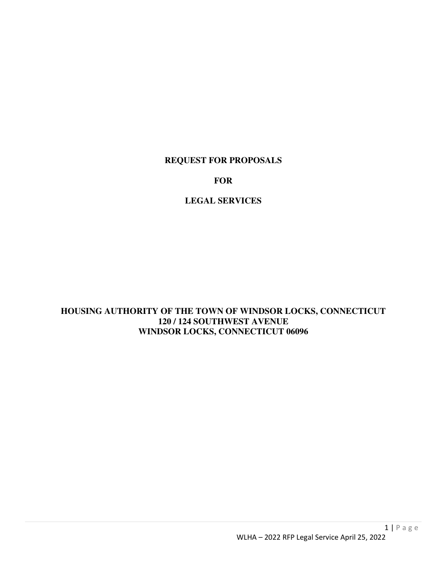#### **REQUEST FOR PROPOSALS**

#### **FOR**

#### **LEGAL SERVICES**

#### **HOUSING AUTHORITY OF THE TOWN OF WINDSOR LOCKS, CONNECTICUT 120 / 124 SOUTHWEST AVENUE WINDSOR LOCKS, CONNECTICUT 06096**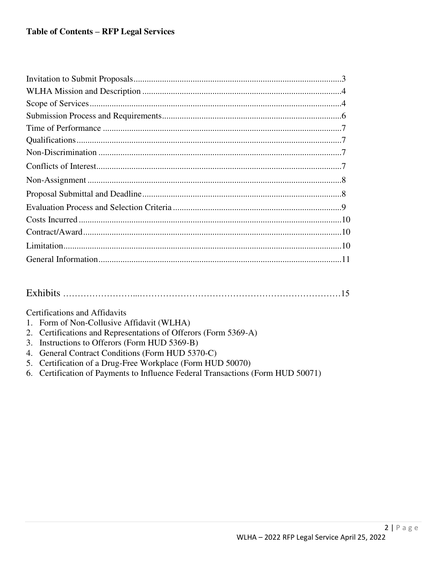#### **Table of Contents - RFP Legal Services**

Certifications and Affidavits

- 1. Form of Non-Collusive Affidavit (WLHA)
- 2. Certifications and Representations of Offerors (Form 5369-A)
- 3. Instructions to Offerors (Form HUD 5369-B)
- 4. General Contract Conditions (Form HUD 5370-C)
- 5. Certification of a Drug-Free Workplace (Form HUD 50070)
- 6. Certification of Payments to Influence Federal Transactions (Form HUD 50071)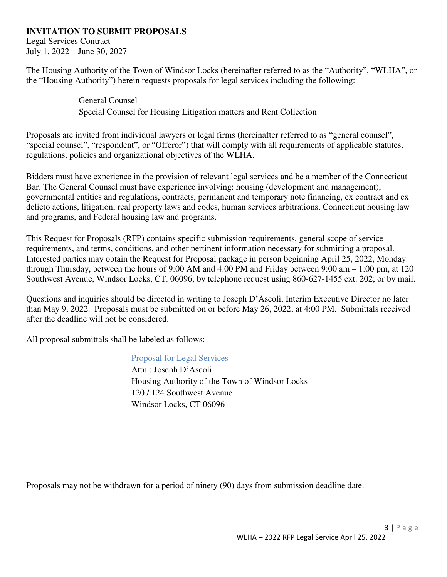#### **INVITATION TO SUBMIT PROPOSALS**

Legal Services Contract July 1, 2022 – June 30, 2027

The Housing Authority of the Town of Windsor Locks (hereinafter referred to as the "Authority", "WLHA", or the "Housing Authority") herein requests proposals for legal services including the following:

> General Counsel Special Counsel for Housing Litigation matters and Rent Collection

Proposals are invited from individual lawyers or legal firms (hereinafter referred to as "general counsel", "special counsel", "respondent", or "Offeror") that will comply with all requirements of applicable statutes, regulations, policies and organizational objectives of the WLHA.

Bidders must have experience in the provision of relevant legal services and be a member of the Connecticut Bar. The General Counsel must have experience involving: housing (development and management), governmental entities and regulations, contracts, permanent and temporary note financing, ex contract and ex delicto actions, litigation, real property laws and codes, human services arbitrations, Connecticut housing law and programs, and Federal housing law and programs.

This Request for Proposals (RFP) contains specific submission requirements, general scope of service requirements, and terms, conditions, and other pertinent information necessary for submitting a proposal. Interested parties may obtain the Request for Proposal package in person beginning April 25, 2022, Monday through Thursday, between the hours of 9:00 AM and 4:00 PM and Friday between 9:00 am – 1:00 pm, at 120 Southwest Avenue, Windsor Locks, CT. 06096; by telephone request using 860-627-1455 ext. 202; or by mail.

Questions and inquiries should be directed in writing to Joseph D'Ascoli, Interim Executive Director no later than May 9, 2022. Proposals must be submitted on or before May 26, 2022, at 4:00 PM. Submittals received after the deadline will not be considered.

All proposal submittals shall be labeled as follows:

Proposal for Legal Services

 Attn.: Joseph D'Ascoli Housing Authority of the Town of Windsor Locks 120 / 124 Southwest Avenue Windsor Locks, CT 06096

Proposals may not be withdrawn for a period of ninety (90) days from submission deadline date.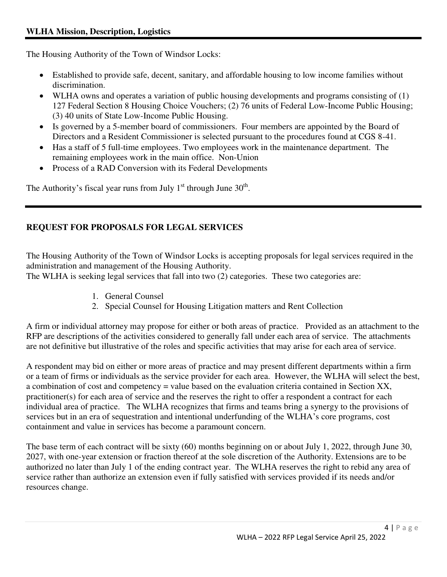The Housing Authority of the Town of Windsor Locks:

- Established to provide safe, decent, sanitary, and affordable housing to low income families without discrimination.
- WLHA owns and operates a variation of public housing developments and programs consisting of (1) 127 Federal Section 8 Housing Choice Vouchers; (2) 76 units of Federal Low-Income Public Housing; (3) 40 units of State Low-Income Public Housing.
- Is governed by a 5-member board of commissioners. Four members are appointed by the Board of Directors and a Resident Commissioner is selected pursuant to the procedures found at CGS 8-41.
- Has a staff of 5 full-time employees. Two employees work in the maintenance department. The remaining employees work in the main office. Non-Union
- Process of a RAD Conversion with its Federal Developments

The Authority's fiscal year runs from July  $1<sup>st</sup>$  through June  $30<sup>th</sup>$ .

#### **REQUEST FOR PROPOSALS FOR LEGAL SERVICES**

The Housing Authority of the Town of Windsor Locks is accepting proposals for legal services required in the administration and management of the Housing Authority.

The WLHA is seeking legal services that fall into two (2) categories. These two categories are:

- 1. General Counsel
- 2. Special Counsel for Housing Litigation matters and Rent Collection

A firm or individual attorney may propose for either or both areas of practice. Provided as an attachment to the RFP are descriptions of the activities considered to generally fall under each area of service. The attachments are not definitive but illustrative of the roles and specific activities that may arise for each area of service.

A respondent may bid on either or more areas of practice and may present different departments within a firm or a team of firms or individuals as the service provider for each area. However, the WLHA will select the best, a combination of cost and competency = value based on the evaluation criteria contained in Section XX, practitioner(s) for each area of service and the reserves the right to offer a respondent a contract for each individual area of practice. The WLHA recognizes that firms and teams bring a synergy to the provisions of services but in an era of sequestration and intentional underfunding of the WLHA's core programs, cost containment and value in services has become a paramount concern.

The base term of each contract will be sixty (60) months beginning on or about July 1, 2022, through June 30, 2027, with one-year extension or fraction thereof at the sole discretion of the Authority. Extensions are to be authorized no later than July 1 of the ending contract year. The WLHA reserves the right to rebid any area of service rather than authorize an extension even if fully satisfied with services provided if its needs and/or resources change.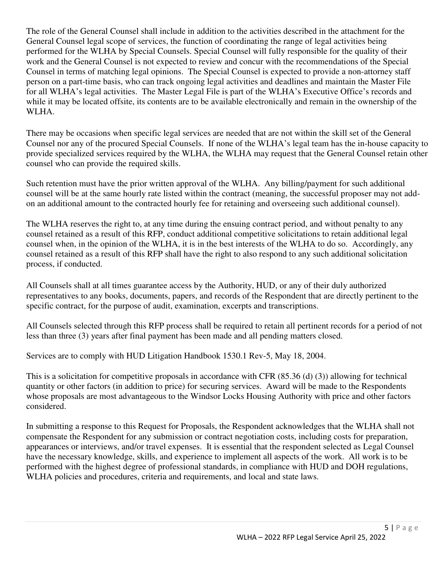The role of the General Counsel shall include in addition to the activities described in the attachment for the General Counsel legal scope of services, the function of coordinating the range of legal activities being performed for the WLHA by Special Counsels. Special Counsel will fully responsible for the quality of their work and the General Counsel is not expected to review and concur with the recommendations of the Special Counsel in terms of matching legal opinions. The Special Counsel is expected to provide a non-attorney staff person on a part-time basis, who can track ongoing legal activities and deadlines and maintain the Master File for all WLHA's legal activities. The Master Legal File is part of the WLHA's Executive Office's records and while it may be located offsite, its contents are to be available electronically and remain in the ownership of the WLHA.

There may be occasions when specific legal services are needed that are not within the skill set of the General Counsel nor any of the procured Special Counsels. If none of the WLHA's legal team has the in-house capacity to provide specialized services required by the WLHA, the WLHA may request that the General Counsel retain other counsel who can provide the required skills.

Such retention must have the prior written approval of the WLHA. Any billing/payment for such additional counsel will be at the same hourly rate listed within the contract (meaning, the successful proposer may not addon an additional amount to the contracted hourly fee for retaining and overseeing such additional counsel).

The WLHA reserves the right to, at any time during the ensuing contract period, and without penalty to any counsel retained as a result of this RFP, conduct additional competitive solicitations to retain additional legal counsel when, in the opinion of the WLHA, it is in the best interests of the WLHA to do so. Accordingly, any counsel retained as a result of this RFP shall have the right to also respond to any such additional solicitation process, if conducted.

All Counsels shall at all times guarantee access by the Authority, HUD, or any of their duly authorized representatives to any books, documents, papers, and records of the Respondent that are directly pertinent to the specific contract, for the purpose of audit, examination, excerpts and transcriptions.

All Counsels selected through this RFP process shall be required to retain all pertinent records for a period of not less than three (3) years after final payment has been made and all pending matters closed.

Services are to comply with HUD Litigation Handbook 1530.1 Rev-5, May 18, 2004.

This is a solicitation for competitive proposals in accordance with CFR (85.36 (d) (3)) allowing for technical quantity or other factors (in addition to price) for securing services. Award will be made to the Respondents whose proposals are most advantageous to the Windsor Locks Housing Authority with price and other factors considered.

In submitting a response to this Request for Proposals, the Respondent acknowledges that the WLHA shall not compensate the Respondent for any submission or contract negotiation costs, including costs for preparation, appearances or interviews, and/or travel expenses. It is essential that the respondent selected as Legal Counsel have the necessary knowledge, skills, and experience to implement all aspects of the work. All work is to be performed with the highest degree of professional standards, in compliance with HUD and DOH regulations, WLHA policies and procedures, criteria and requirements, and local and state laws.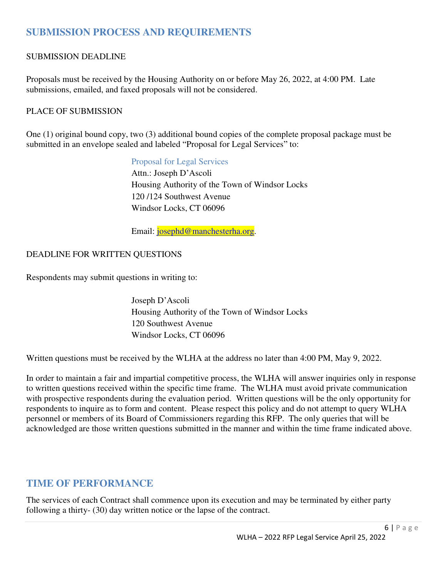## **SUBMISSION PROCESS AND REQUIREMENTS**

#### SUBMISSION DEADLINE

Proposals must be received by the Housing Authority on or before May 26, 2022, at 4:00 PM. Late submissions, emailed, and faxed proposals will not be considered.

#### PLACE OF SUBMISSION

One (1) original bound copy, two (3) additional bound copies of the complete proposal package must be submitted in an envelope sealed and labeled "Proposal for Legal Services" to:

> Proposal for Legal Services Attn.: Joseph D'Ascoli Housing Authority of the Town of Windsor Locks 120 /124 Southwest Avenue Windsor Locks, CT 06096

Email: [josephd@manchesterha.org.](mailto:josephd@manchesterha.org)

#### DEADLINE FOR WRITTEN QUESTIONS

Respondents may submit questions in writing to:

 Joseph D'Ascoli Housing Authority of the Town of Windsor Locks 120 Southwest Avenue Windsor Locks, CT 06096

Written questions must be received by the WLHA at the address no later than 4:00 PM, May 9, 2022.

In order to maintain a fair and impartial competitive process, the WLHA will answer inquiries only in response to written questions received within the specific time frame. The WLHA must avoid private communication with prospective respondents during the evaluation period. Written questions will be the only opportunity for respondents to inquire as to form and content. Please respect this policy and do not attempt to query WLHA personnel or members of its Board of Commissioners regarding this RFP. The only queries that will be acknowledged are those written questions submitted in the manner and within the time frame indicated above.

#### **TIME OF PERFORMANCE**

The services of each Contract shall commence upon its execution and may be terminated by either party following a thirty- (30) day written notice or the lapse of the contract.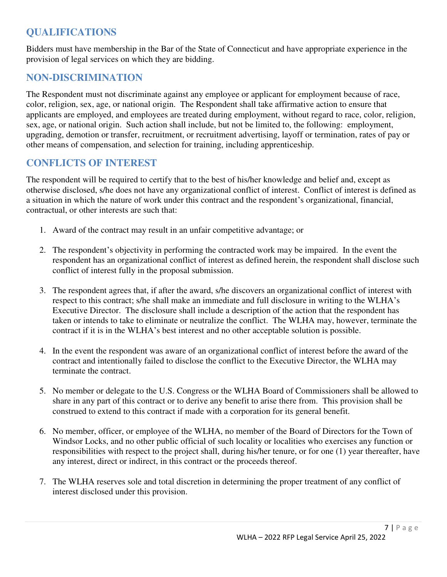## **QUALIFICATIONS**

Bidders must have membership in the Bar of the State of Connecticut and have appropriate experience in the provision of legal services on which they are bidding.

## **NON-DISCRIMINATION**

The Respondent must not discriminate against any employee or applicant for employment because of race, color, religion, sex, age, or national origin. The Respondent shall take affirmative action to ensure that applicants are employed, and employees are treated during employment, without regard to race, color, religion, sex, age, or national origin. Such action shall include, but not be limited to, the following: employment, upgrading, demotion or transfer, recruitment, or recruitment advertising, layoff or termination, rates of pay or other means of compensation, and selection for training, including apprenticeship.

## **CONFLICTS OF INTEREST**

The respondent will be required to certify that to the best of his/her knowledge and belief and, except as otherwise disclosed, s/he does not have any organizational conflict of interest. Conflict of interest is defined as a situation in which the nature of work under this contract and the respondent's organizational, financial, contractual, or other interests are such that:

- 1. Award of the contract may result in an unfair competitive advantage; or
- 2. The respondent's objectivity in performing the contracted work may be impaired. In the event the respondent has an organizational conflict of interest as defined herein, the respondent shall disclose such conflict of interest fully in the proposal submission.
- 3. The respondent agrees that, if after the award, s/he discovers an organizational conflict of interest with respect to this contract; s/he shall make an immediate and full disclosure in writing to the WLHA's Executive Director. The disclosure shall include a description of the action that the respondent has taken or intends to take to eliminate or neutralize the conflict. The WLHA may, however, terminate the contract if it is in the WLHA's best interest and no other acceptable solution is possible.
- 4. In the event the respondent was aware of an organizational conflict of interest before the award of the contract and intentionally failed to disclose the conflict to the Executive Director, the WLHA may terminate the contract.
- 5. No member or delegate to the U.S. Congress or the WLHA Board of Commissioners shall be allowed to share in any part of this contract or to derive any benefit to arise there from. This provision shall be construed to extend to this contract if made with a corporation for its general benefit.
- 6. No member, officer, or employee of the WLHA, no member of the Board of Directors for the Town of Windsor Locks, and no other public official of such locality or localities who exercises any function or responsibilities with respect to the project shall, during his/her tenure, or for one (1) year thereafter, have any interest, direct or indirect, in this contract or the proceeds thereof.
- 7. The WLHA reserves sole and total discretion in determining the proper treatment of any conflict of interest disclosed under this provision.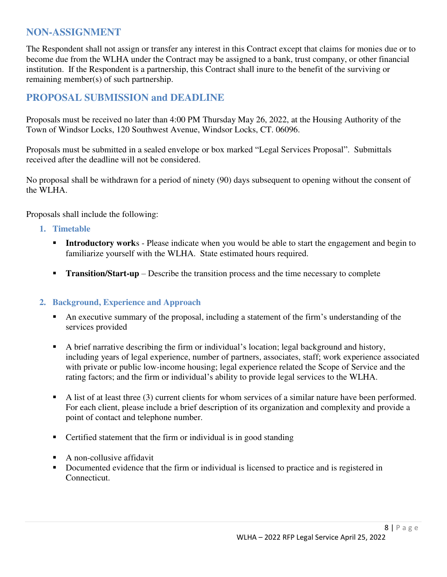### **NON-ASSIGNMENT**

The Respondent shall not assign or transfer any interest in this Contract except that claims for monies due or to become due from the WLHA under the Contract may be assigned to a bank, trust company, or other financial institution. If the Respondent is a partnership, this Contract shall inure to the benefit of the surviving or remaining member(s) of such partnership.

## **PROPOSAL SUBMISSION and DEADLINE**

Proposals must be received no later than 4:00 PM Thursday May 26, 2022, at the Housing Authority of the Town of Windsor Locks, 120 Southwest Avenue, Windsor Locks, CT. 06096.

Proposals must be submitted in a sealed envelope or box marked "Legal Services Proposal". Submittals received after the deadline will not be considered.

No proposal shall be withdrawn for a period of ninety (90) days subsequent to opening without the consent of the WLHA.

Proposals shall include the following:

- **1. Timetable** 
	- **Introductory work**s Please indicate when you would be able to start the engagement and begin to familiarize yourself with the WLHA. State estimated hours required.
	- **Transition/Start-up** Describe the transition process and the time necessary to complete

#### **2. Background, Experience and Approach**

- An executive summary of the proposal, including a statement of the firm's understanding of the services provided
- A brief narrative describing the firm or individual's location; legal background and history, including years of legal experience, number of partners, associates, staff; work experience associated with private or public low-income housing; legal experience related the Scope of Service and the rating factors; and the firm or individual's ability to provide legal services to the WLHA.
- A list of at least three  $(3)$  current clients for whom services of a similar nature have been performed. For each client, please include a brief description of its organization and complexity and provide a point of contact and telephone number.
- Certified statement that the firm or individual is in good standing
- A non-collusive affidavit
- Documented evidence that the firm or individual is licensed to practice and is registered in Connecticut.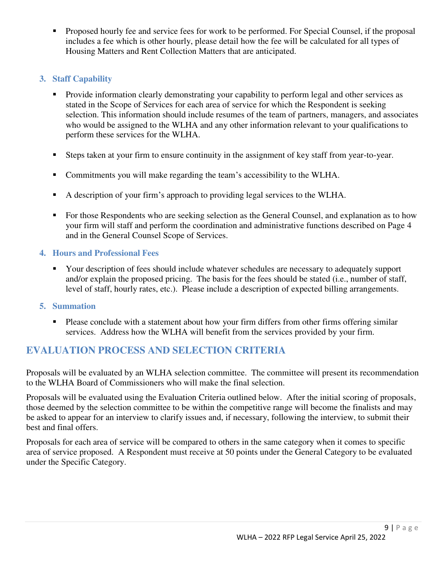**Proposed hourly fee and service fees for work to be performed. For Special Counsel, if the proposal** includes a fee which is other hourly, please detail how the fee will be calculated for all types of Housing Matters and Rent Collection Matters that are anticipated.

### **3. Staff Capability**

- **Provide information clearly demonstrating your capability to perform legal and other services as** stated in the Scope of Services for each area of service for which the Respondent is seeking selection. This information should include resumes of the team of partners, managers, and associates who would be assigned to the WLHA and any other information relevant to your qualifications to perform these services for the WLHA.
- Steps taken at your firm to ensure continuity in the assignment of key staff from year-to-year.
- Commitments you will make regarding the team's accessibility to the WLHA.
- A description of your firm's approach to providing legal services to the WLHA.
- For those Respondents who are seeking selection as the General Counsel, and explanation as to how your firm will staff and perform the coordination and administrative functions described on Page 4 and in the General Counsel Scope of Services.

### **4. Hours and Professional Fees**

 Your description of fees should include whatever schedules are necessary to adequately support and/or explain the proposed pricing. The basis for the fees should be stated (i.e., number of staff, level of staff, hourly rates, etc.). Please include a description of expected billing arrangements.

### **5. Summation**

**Please conclude with a statement about how your firm differs from other firms offering similar** services. Address how the WLHA will benefit from the services provided by your firm.

## **EVALUATION PROCESS AND SELECTION CRITERIA**

Proposals will be evaluated by an WLHA selection committee. The committee will present its recommendation to the WLHA Board of Commissioners who will make the final selection.

Proposals will be evaluated using the Evaluation Criteria outlined below. After the initial scoring of proposals, those deemed by the selection committee to be within the competitive range will become the finalists and may be asked to appear for an interview to clarify issues and, if necessary, following the interview, to submit their best and final offers.

Proposals for each area of service will be compared to others in the same category when it comes to specific area of service proposed. A Respondent must receive at 50 points under the General Category to be evaluated under the Specific Category.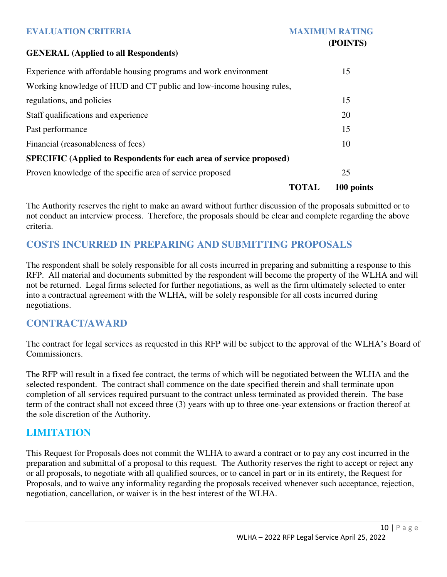#### **EVALUATION CRITERIA GEOGRAPHIC CONSTRUCTION CRITERIA**

#### **GENERAL (Applied to all Respondents)**

| Proven knowledge of the specific area of service proposed                  | 25 |
|----------------------------------------------------------------------------|----|
|                                                                            |    |
| <b>SPECIFIC</b> (Applied to Respondents for each area of service proposed) |    |
| Financial (reasonableness of fees)                                         | 10 |
| Past performance                                                           | 15 |
| Staff qualifications and experience                                        | 20 |
| regulations, and policies                                                  | 15 |
| Working knowledge of HUD and CT public and low-income housing rules,       |    |
| Experience with affordable housing programs and work environment           | 15 |

The Authority reserves the right to make an award without further discussion of the proposals submitted or to not conduct an interview process. Therefore, the proposals should be clear and complete regarding the above criteria.

### **COSTS INCURRED IN PREPARING AND SUBMITTING PROPOSALS**

The respondent shall be solely responsible for all costs incurred in preparing and submitting a response to this RFP. All material and documents submitted by the respondent will become the property of the WLHA and will not be returned. Legal firms selected for further negotiations, as well as the firm ultimately selected to enter into a contractual agreement with the WLHA, will be solely responsible for all costs incurred during negotiations.

### **CONTRACT/AWARD**

The contract for legal services as requested in this RFP will be subject to the approval of the WLHA's Board of Commissioners.

The RFP will result in a fixed fee contract, the terms of which will be negotiated between the WLHA and the selected respondent. The contract shall commence on the date specified therein and shall terminate upon completion of all services required pursuant to the contract unless terminated as provided therein. The base term of the contract shall not exceed three (3) years with up to three one-year extensions or fraction thereof at the sole discretion of the Authority.

### **LIMITATION**

This Request for Proposals does not commit the WLHA to award a contract or to pay any cost incurred in the preparation and submittal of a proposal to this request. The Authority reserves the right to accept or reject any or all proposals, to negotiate with all qualified sources, or to cancel in part or in its entirety, the Request for Proposals, and to waive any informality regarding the proposals received whenever such acceptance, rejection, negotiation, cancellation, or waiver is in the best interest of the WLHA.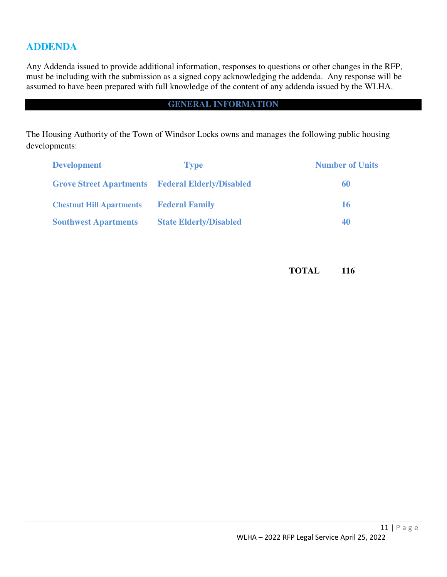### **ADDENDA**

Any Addenda issued to provide additional information, responses to questions or other changes in the RFP, must be including with the submission as a signed copy acknowledging the addenda. Any response will be assumed to have been prepared with full knowledge of the content of any addenda issued by the WLHA.

#### **GENERAL INFORMATION**

The Housing Authority of the Town of Windsor Locks owns and manages the following public housing developments:

| <b>Development</b>                                      | <b>Type</b>                   | <b>Number of Units</b> |
|---------------------------------------------------------|-------------------------------|------------------------|
| <b>Grove Street Apartments Federal Elderly/Disabled</b> |                               | 60                     |
| <b>Chestnut Hill Apartments</b>                         | <b>Federal Family</b>         | 16                     |
| <b>Southwest Apartments</b>                             | <b>State Elderly/Disabled</b> | 40                     |

 **TOTAL 116**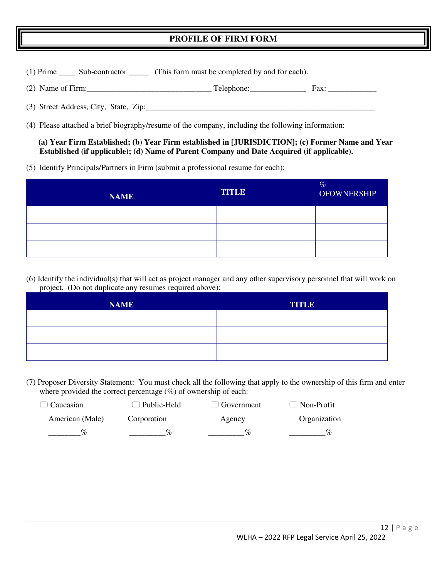### **PROFILE OF FIRM FORM**

| $(1)$ Prime<br>Sub-contractor         | (This form must be completed by and for each). |      |
|---------------------------------------|------------------------------------------------|------|
| $(2)$ Name of Firm:                   | Telephone:                                     | Fax: |
| (3) Street Address, City, State, Zip: |                                                |      |

(4) Please attached a brief biography/resume of the company, including the following information:

 **(a) Year Firm Established; (b) Year Firm established in [JURISDICTION]; (c) Former Name and Year Established (if applicable); (d) Name of Parent Company and Date Acquired (if applicable).** 

(5) Identify Principals/Partners in Firm (submit a professional resume for each):

| <b>NAME</b> | <b>TITLE</b> | $\%$<br><b>OFOWNERSHIP</b> |
|-------------|--------------|----------------------------|
|             |              |                            |
|             |              |                            |
|             |              |                            |

(6) Identify the individual(s) that will act as project manager and any other supervisory personnel that will work on project. (Do not duplicate any resumes required above):

| <b>NAME</b> | <b>TITLE</b> |
|-------------|--------------|
|             |              |
|             |              |
|             |              |
|             |              |

(7) Proposer Diversity Statement: You must check all the following that apply to the ownership of this firm and enter where provided the correct percentage  $(\%)$  of ownership of each:

| $\Box$ Caucasian            | $\Box$ Public-Held         | $\Box$ Government | $\Box$ Non-Profit         |
|-----------------------------|----------------------------|-------------------|---------------------------|
| American (Male)             | Corporation                | Agency            | Organization              |
| $\mathcal{O}_{\mathcal{L}}$ | $\mathit{o}_{\mathit{lo}}$ | $\%$              | $\mathcal{O}_\mathcal{D}$ |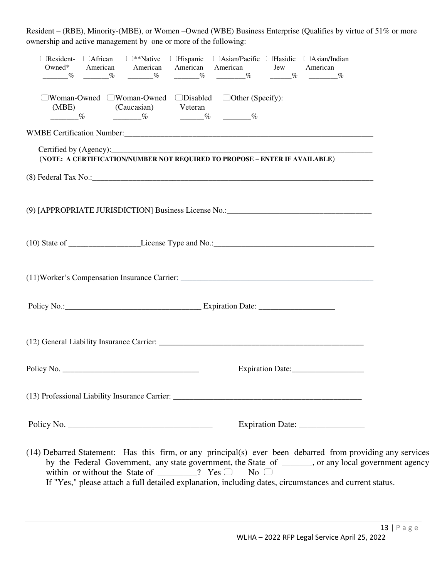Resident – (RBE), Minority-(MBE), or Women –Owned (WBE) Business Enterprise (Qualifies by virtue of 51% or more ownership and active management by one or more of the following:

| $\Box$ Resident- $\Box$ African $\Box$ <sup>**</sup> Native $\Box$ Hispanic $\Box$ Asian/Pacific $\Box$ Hasidic $\Box$ Asian/Indian<br>Owned* American American American American Jew<br>$\begin{array}{ccccccccccccccccc} \mathcal{A} & \mathcal{A} & \mathcal{A} & \mathcal{A} & \mathcal{A} & \mathcal{A} & \mathcal{A} & \mathcal{A} & \mathcal{A} & \mathcal{A} & \mathcal{A} & \mathcal{A} & \mathcal{A} & \mathcal{A} & \mathcal{A} & \mathcal{A} & \mathcal{A} & \mathcal{A} & \mathcal{A} & \mathcal{A} & \mathcal{A} & \mathcal{A} & \mathcal{A} & \mathcal{A} & \mathcal{A} & \mathcal{A} & \mathcal{A} & \mathcal{A} & \mathcal{A} & \mathcal{A}$ | American                                                                                                                    |
|---------------------------------------------------------------------------------------------------------------------------------------------------------------------------------------------------------------------------------------------------------------------------------------------------------------------------------------------------------------------------------------------------------------------------------------------------------------------------------------------------------------------------------------------------------------------------------------------------------------------------------------------------------------|-----------------------------------------------------------------------------------------------------------------------------|
| $\Box$ Woman-Owned $\Box$ Woman-Owned $\Box$ Disabled $\Box$ Other (Specify):<br>(Caucasian) Veteran $\frac{\%}{\%}$ Veteran $\frac{\%}{\%}$<br>(MBE)<br>$\sim$ %                                                                                                                                                                                                                                                                                                                                                                                                                                                                                             |                                                                                                                             |
|                                                                                                                                                                                                                                                                                                                                                                                                                                                                                                                                                                                                                                                               |                                                                                                                             |
| (NOTE: A CERTIFICATION/NUMBER NOT REQUIRED TO PROPOSE - ENTER IF AVAILABLE)                                                                                                                                                                                                                                                                                                                                                                                                                                                                                                                                                                                   |                                                                                                                             |
|                                                                                                                                                                                                                                                                                                                                                                                                                                                                                                                                                                                                                                                               |                                                                                                                             |
| (9) [APPROPRIATE JURISDICTION] Business License No.: ___________________________                                                                                                                                                                                                                                                                                                                                                                                                                                                                                                                                                                              |                                                                                                                             |
|                                                                                                                                                                                                                                                                                                                                                                                                                                                                                                                                                                                                                                                               |                                                                                                                             |
|                                                                                                                                                                                                                                                                                                                                                                                                                                                                                                                                                                                                                                                               |                                                                                                                             |
|                                                                                                                                                                                                                                                                                                                                                                                                                                                                                                                                                                                                                                                               |                                                                                                                             |
|                                                                                                                                                                                                                                                                                                                                                                                                                                                                                                                                                                                                                                                               |                                                                                                                             |
|                                                                                                                                                                                                                                                                                                                                                                                                                                                                                                                                                                                                                                                               |                                                                                                                             |
| (13) Professional Liability Insurance Carrier:                                                                                                                                                                                                                                                                                                                                                                                                                                                                                                                                                                                                                |                                                                                                                             |
|                                                                                                                                                                                                                                                                                                                                                                                                                                                                                                                                                                                                                                                               |                                                                                                                             |
| (14) Debarred Statement: Has this firm, or any principal(s) ever been debarred from providing any services                                                                                                                                                                                                                                                                                                                                                                                                                                                                                                                                                    | by the Federal Government, any state government, the State of _____, or any local government agency<br>$? Yes \Box No \Box$ |

If "Yes," please attach a full detailed explanation, including dates, circumstances and current status.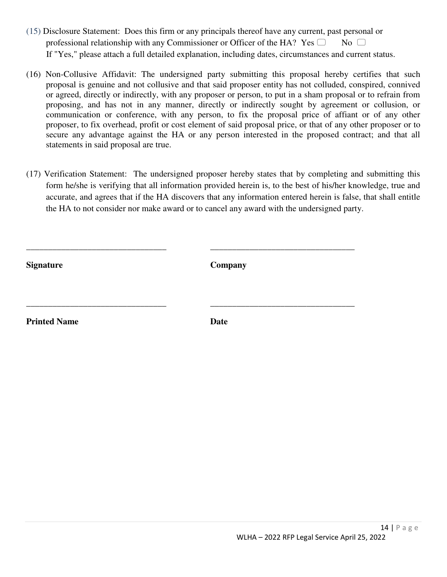- (15) Disclosure Statement: Does this firm or any principals thereof have any current, past personal or professional relationship with any Commissioner or Officer of the HA? Yes  $\Box$  No  $\Box$ If "Yes," please attach a full detailed explanation, including dates, circumstances and current status.
- (16) Non-Collusive Affidavit: The undersigned party submitting this proposal hereby certifies that such proposal is genuine and not collusive and that said proposer entity has not colluded, conspired, connived or agreed, directly or indirectly, with any proposer or person, to put in a sham proposal or to refrain from proposing, and has not in any manner, directly or indirectly sought by agreement or collusion, or communication or conference, with any person, to fix the proposal price of affiant or of any other proposer, to fix overhead, profit or cost element of said proposal price, or that of any other proposer or to secure any advantage against the HA or any person interested in the proposed contract; and that all statements in said proposal are true.
- (17) Verification Statement: The undersigned proposer hereby states that by completing and submitting this form he/she is verifying that all information provided herein is, to the best of his/her knowledge, true and accurate, and agrees that if the HA discovers that any information entered herein is false, that shall entitle the HA to not consider nor make award or to cancel any award with the undersigned party.

| <b>Signature</b>    | Company     |
|---------------------|-------------|
|                     |             |
| <b>Printed Name</b> | <b>Date</b> |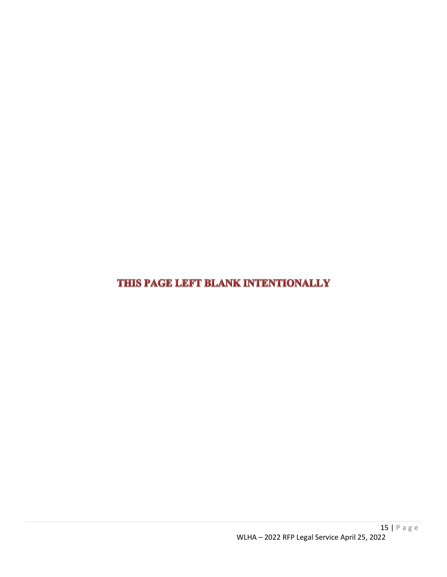# THIS PAGE LEFT BLANK INTENTIONALLY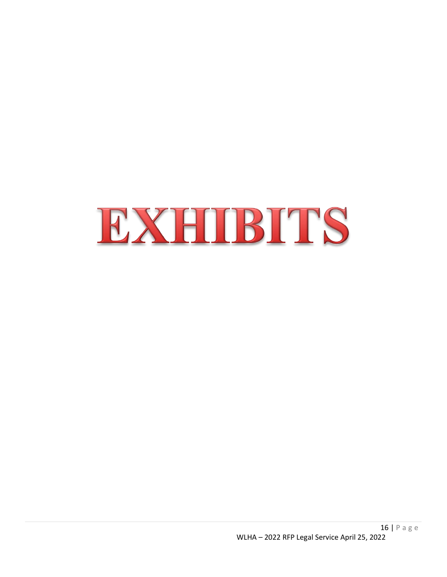